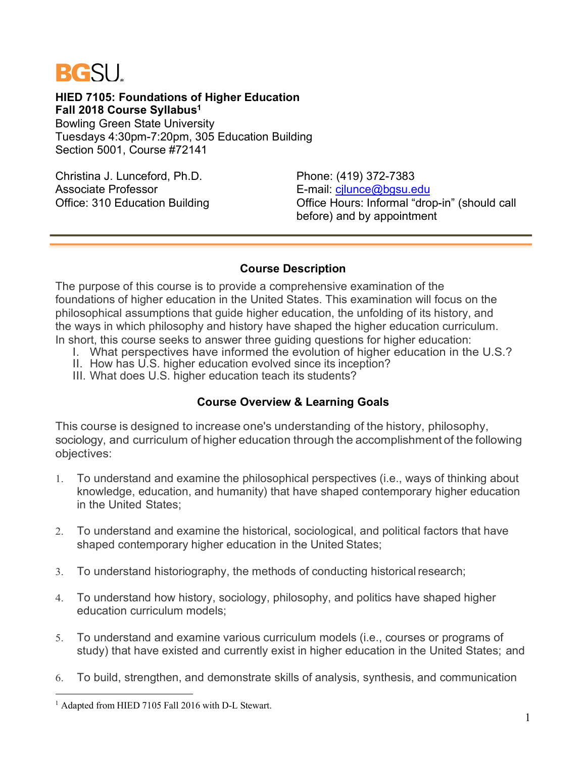

**HIED 7105: Foundations of Higher Education Fall 2018 Course Syllabus1** Bowling Green State University

Tuesdays 4:30pm-7:20pm, 305 Education Building Section 5001, Course #72141

Christina J. Lunceford, Ph.D. Phone: (419) 372-7383 Associate Professor **E-mail:** cjlunce@bgsu.edu

Office: 310 Education Building Office Hours: Informal "drop-in" (should call before) and by appointment

#### **Course Description**

The purpose of this course is to provide a comprehensive examination of the foundations of higher education in the United States. This examination will focus on the philosophical assumptions that guide higher education, the unfolding of its history, and the ways in which philosophy and history have shaped the higher education curriculum. In short, this course seeks to answer three guiding questions for higher education:

- I. What perspectives have informed the evolution of higher education in the U.S.?
- II. How has U.S. higher education evolved since its inception?

III. What does U.S. higher education teach its students?

# **Course Overview & Learning Goals**

This course is designed to increase one's understanding of the history, philosophy, sociology, and curriculum of higher education through the accomplishment of the following objectives:

- 1. To understand and examine the philosophical perspectives (i.e., ways of thinking about knowledge, education, and humanity) that have shaped contemporary higher education in the United States;
- 2. To understand and examine the historical, sociological, and political factors that have shaped contemporary higher education in the United States;
- 3. To understand historiography, the methods of conducting historical research;
- 4. To understand how history, sociology, philosophy, and politics have shaped higher education curriculum models;
- 5. To understand and examine various curriculum models (i.e., courses or programs of study) that have existed and currently exist in higher education in the United States; and
- 6. To build, strengthen, and demonstrate skills of analysis, synthesis, and communication

<sup>&</sup>lt;sup>1</sup> Adapted from HIED 7105 Fall 2016 with D-L Stewart.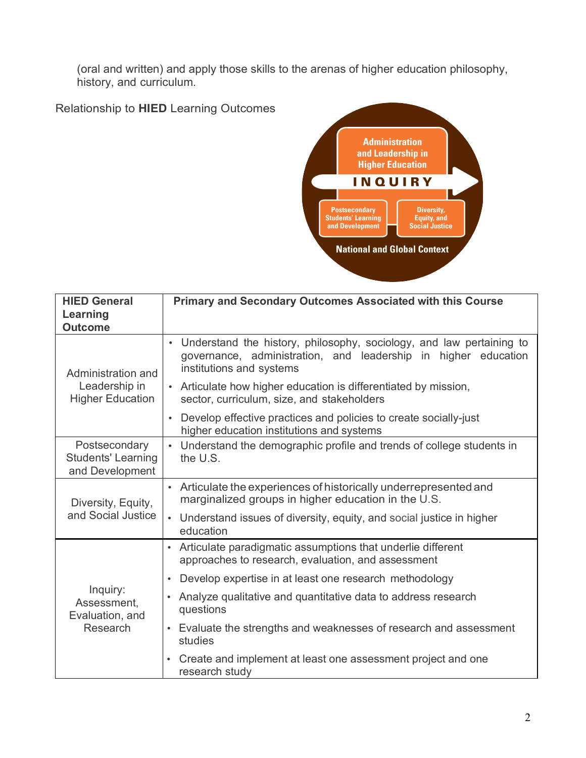(oral and written) and apply those skills to the arenas of higher education philosophy, history, and curriculum.

Relationship to **HIED** Learning Outcomes



| <b>HIED General</b><br>Learning<br><b>Outcome</b>             | <b>Primary and Secondary Outcomes Associated with this Course</b>                                                                                                    |
|---------------------------------------------------------------|----------------------------------------------------------------------------------------------------------------------------------------------------------------------|
| Administration and                                            | • Understand the history, philosophy, sociology, and law pertaining to<br>governance, administration, and leadership in higher education<br>institutions and systems |
| Leadership in<br><b>Higher Education</b>                      | • Articulate how higher education is differentiated by mission,<br>sector, curriculum, size, and stakeholders                                                        |
|                                                               | Develop effective practices and policies to create socially-just<br>$\bullet$<br>higher education institutions and systems                                           |
| Postsecondary<br><b>Students' Learning</b><br>and Development | • Understand the demographic profile and trends of college students in<br>the U.S.                                                                                   |
| Diversity, Equity,                                            | • Articulate the experiences of historically underrepresented and<br>marginalized groups in higher education in the U.S.                                             |
| and Social Justice                                            | • Understand issues of diversity, equity, and social justice in higher<br>education                                                                                  |
|                                                               | • Articulate paradigmatic assumptions that underlie different<br>approaches to research, evaluation, and assessment                                                  |
|                                                               | Develop expertise in at least one research methodology<br>$\bullet$                                                                                                  |
| Inquiry:<br>Assessment,<br>Evaluation, and                    | Analyze qualitative and quantitative data to address research<br>questions                                                                                           |
| Research                                                      | Evaluate the strengths and weaknesses of research and assessment<br>$\bullet$<br>studies                                                                             |
|                                                               | Create and implement at least one assessment project and one<br>research study                                                                                       |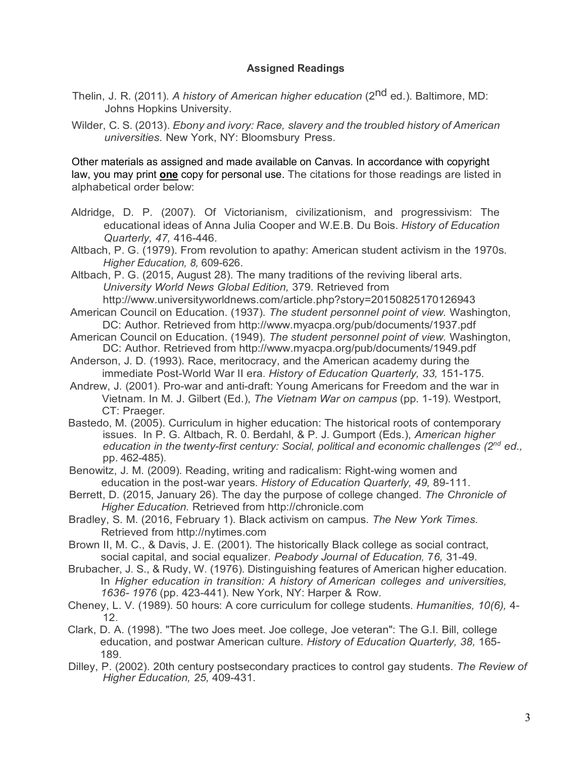#### **Assigned Readings**

Thelin, J. R. (2011). *A history of American higher education* (2nd ed.). Baltimore, MD: Johns Hopkins University.

Wilder, C. S. (2013). *Ebony and ivory: Race, slavery and the troubled history of American universities.* New York, NY: Bloomsbury Press.

Other materials as assigned and made available on Canvas. In accordance with copyright law, you may print **one** copy for personal use. The citations for those readings are listed in alphabetical order below:

- Aldridge, D. P. (2007). Of Victorianism, civilizationism, and progressivism: The educational ideas of Anna Julia Cooper and W.E.B. Du Bois. *History of Education Quarterly, 47,* 416-446.
- Altbach, P. G. (1979). From revolution to apathy: American student activism in the 1970s. *Higher Education, 8,* 609-626.
- Altbach, P. G. (2015, August 28). The many traditions of the reviving liberal arts. *University World News Global Edition,* 379. Retrieved from http://www.universityworldnews.com/article.php?story=20150825170126943
- American Council on Education. (1937). *The student personnel point of view.* Washington, DC: Author. Retrieved from http://www.myacpa.org/pub/documents/1937.pdf
- American Council on Education. (1949). *The student personnel point of view.* Washington, DC: Author. Retrieved from http://www.myacpa.org/pub/documents/1949.pdf
- Anderson, J. D. (1993). Race, meritocracy, and the American academy during the immediate Post-World War II era. *History of Education Quarterly, 33,* 151-175.
- Andrew, J. (2001). Pro-war and anti-draft: Young Americans for Freedom and the war in Vietnam. In M. J. Gilbert (Ed.), *The Vietnam War on campus* (pp. 1-19). Westport, CT: Praeger.
- Bastedo, M. (2005). Curriculum in higher education: The historical roots of contemporary issues. In P. G. Altbach, R. 0. Berdahl, & P. J. Gumport (Eds.), *American higher education in the twenty-first century: Social, political and economic challenges (2nd ed.,* pp. 462-485).
- Benowitz, J. M. (2009). Reading, writing and radicalism: Right-wing women and education in the post-war years. *History of Education Quarterly, 49,* 89-111.
- Berrett, D. (2015, January 26). The day the purpose of college changed. *The Chronicle of Higher Education.* Retrieved from http://chronicle.com
- Bradley, S. M. (2016, February 1). Black activism on campus. *The New York Times.*  Retrieved from http://nytimes.com
- Brown II, M. C., & Davis, J. E. (2001). The historically Black college as social contract, social capital, and social equalizer. *Peabody Journal of Education,* 7*6,* 31-49.
- Brubacher, J. S., & Rudy, W. (1976). Distinguishing features of American higher education. In *Higher education in transition: A history of American colleges and universities, 1636- 1976* (pp. 423-441). New York, NY: Harper & Row.
- Cheney, L. V. (1989). 50 hours: A core curriculum for college students. *Humanities, 10(6),* 4- 12.
- Clark, D. A. (1998). "The two Joes meet. Joe college, Joe veteran": The G.I. Bill, college education, and postwar American culture. *History of Education Quarterly, 38,* 165- 189.
- Dilley, P. (2002). 20th century postsecondary practices to control gay students. *The Review of Higher Education, 25,* 409-431.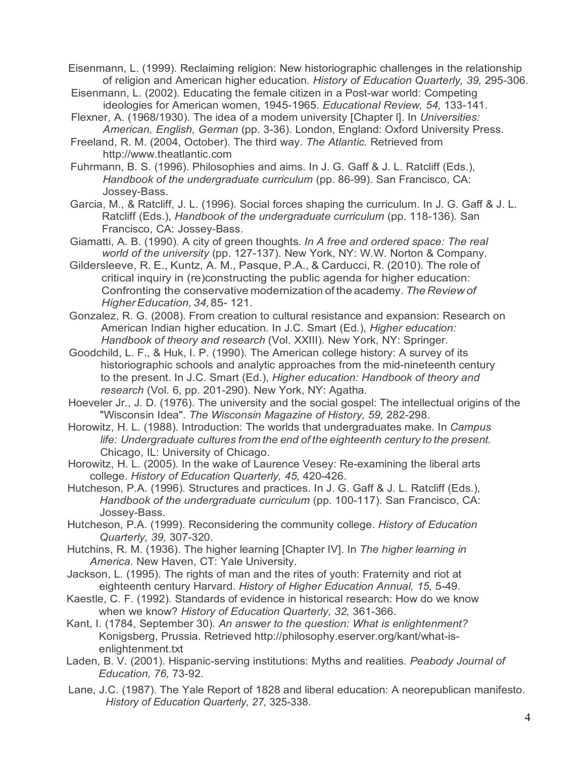Eisenmann, L. (1999). Reclaiming religion: New historiographic challenges in the relationship of religion and American higher education. *History of Education Quarterly, 39,* 295-306.

Eisenmann, L. (2002). Educating the female citizen in a Post-war world: Competing ideologies for American women, 1945-1965. *Educational Review, 54,* 133-141.

Flexner, A. (1968/1930). The idea of a modem university [Chapter l]. In *Universities: American, English, German* (pp. 3-36). London, England: Oxford University Press.

Freeland, R. M. (2004, October). The third way. *The Atlantic.* Retrieved from http://www.theatlantic.com

Fuhrmann, B. S. (1996). Philosophies and aims. In J. G. Gaff & J. L. Ratcliff (Eds.), *Handbook of the undergraduate curriculum* (pp. 86-99). San Francisco, CA: Jossey-Bass.

Garcia, M., & Ratcliff, J. L. (1996). Social forces shaping the curriculum. In J. G. Gaff & J. L. Ratcliff (Eds.), *Handbook of the undergraduate curriculum* (pp. 118-136). San Francisco, CA: Jossey-Bass.

Giamatti, A. B. (1990). A city of green thoughts. *In A free and ordered space: The real world of the university* (pp. 127-137). New York, NY: W.W. Norton & Company.

Gildersleeve, R. E., Kuntz, A. M., Pasque, P.A., & Carducci, R. (2010). The role of critical inquiry in (re)constructing the public agenda for higher education: Confronting the conservative modernization of the academy. *The Review of HigherEducation, 34,*85- 121.

Gonzalez, R. G. (2008). From creation to cultural resistance and expansion: Research on American Indian higher education. In J.C. Smart (Ed.), *Higher education: Handbook of theory and research* (Vol. XXIII). New York, NY: Springer.

Goodchild, L. F., & Huk, I. P. (1990). The American college history: A survey of its historiographic schools and analytic approaches from the mid-nineteenth century to the present. In J.C. Smart (Ed.), *Higher education: Handbook of theory and research* (Vol. 6, pp. 201-290). New York, NY: Agatha.

Hoeveler Jr., J. D. (1976). The university and the social gospel: The intellectual origins of the "Wisconsin Idea". *The Wisconsin Magazine of History, 59,* 282-298.

Horowitz, H. L. (1988). Introduction: The worlds that undergraduates make. In *Campus life: Undergraduate cultures from the end of the eighteenth century to the present.* Chicago, IL: University of Chicago.

Horowitz, H. L. (2005). In the wake of Laurence Vesey: Re-examining the liberal arts college. *History of Education Quarterly, 45,* 420-426.

Hutcheson, P.A. (1996). Structures and practices. In J. G. Gaff & J. L. Ratcliff (Eds.), *Handbook of the undergraduate curriculum* (pp. 100-117). San Francisco, CA: Jossey-Bass.

Hutcheson, P.A. (1999). Reconsidering the community college. *History of Education Quarterly, 39,* 307-320.

Hutchins, R. M. (1936). The higher learning [Chapter IV]. In *The higher learning in America.* New Haven, CT: Yale University.

Jackson, L. (1995). The rights of man and the rites of youth: Fraternity and riot at eighteenth century Harvard. *History of Higher Education Annual, 15,* 5-49.

Kaestle, C. F. (1992). Standards of evidence in historical research: How do we know when we know? *History of Education Quarterly, 32,* 361-366.

Kant, I. (1784, September 30). *An answer to the question: What is enlightenment?*  Konigsberg, Prussia. Retrieved http://philosophy.eserver.org/kant/what-isenlightenment.txt

Laden, B. V. (2001). Hispanic-serving institutions: Myths and realities. *Peabody Journal of Education, 76,* 73-92.

Lane, J.C. (1987). The Yale Report of 1828 and liberal education: A neorepublican manifesto. *History of Education Quarterly, 27,* 325-338.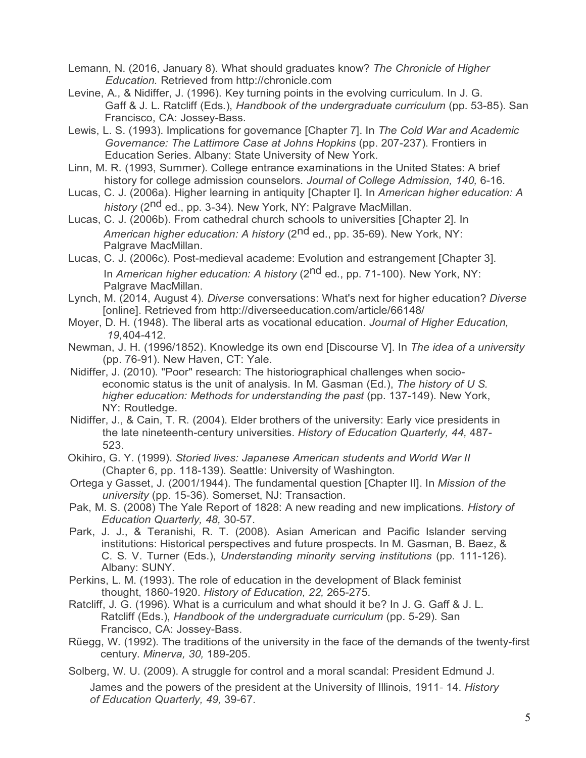Lemann, N. (2016, January 8). What should graduates know? *The Chronicle of Higher Education.* Retrieved from http://chronicle.com

Levine, A., & Nidiffer, J. (1996). Key turning points in the evolving curriculum. In J. G. Gaff & J. L. Ratcliff (Eds.), *Handbook of the undergraduate curriculum* (pp. 53-85). San Francisco, CA: Jossey-Bass.

Lewis, L. S. (1993). Implications for governance [Chapter 7]. In *The Cold War and Academic Governance: The Lattimore Case at Johns Hopkins* (pp. 207-237). Frontiers in Education Series. Albany: State University of New York.

Linn, M. R. (1993, Summer). College entrance examinations in the United States: A brief history for college admission counselors. *Journal of College Admission, 140,* 6-16.

Lucas, C. J. (2006a). Higher learning in antiquity [Chapter I]. In *American higher education: A history* (2nd ed., pp. 3-34). New York, NY: Palgrave MacMillan.

Lucas, C. J. (2006b). From cathedral church schools to universities [Chapter 2]. In *American higher education: A history* (2nd ed., pp. 35-69). New York, NY: Palgrave MacMillan.

Lucas, C. J. (2006c). Post-medieval academe: Evolution and estrangement [Chapter 3]. In *American higher education: A history* (2<sup>nd</sup> ed., pp. 71-100). New York, NY: Palgrave MacMillan.

Lynch, M. (2014, August 4). *Diverse* conversations: What's next for higher education? *Diverse* [online]. Retrieved from http://diverseeducation.com/article/66148/

Moyer, D. H. (1948). The liberal arts as vocational education. *Journal of Higher Education, 19,*404-412.

Newman, J. H. (1996/1852). Knowledge its own end [Discourse V]. In *The idea of a university* (pp. 76-91). New Haven, CT: Yale.

Nidiffer, J. (2010). "Poor" research: The historiographical challenges when socioeconomic status is the unit of analysis. In M. Gasman (Ed.), *The history of U S. higher education: Methods for understanding the past* (pp. 137-149). New York, NY: Routledge.

Nidiffer, J., & Cain, T. R. (2004). Elder brothers of the university: Early vice presidents in the late nineteenth-century universities. *History of Education Quarterly, 44,* 487- 523.

Okihiro, G. Y. (1999). *Storied lives: Japanese American students and World War II*  (Chapter 6, pp. 118-139). Seattle: University of Washington.

Ortega y Gasset, J. (2001/1944). The fundamental question [Chapter II]. In *Mission of the university* (pp. 15-36). Somerset, NJ: Transaction.

Pak, M. S. (2008) The Yale Report of 1828: A new reading and new implications. *History of Education Quarterly, 48,* 30-57.

Park, J. J., & Teranishi, R. T. (2008). Asian American and Pacific Islander serving institutions: Historical perspectives and future prospects. In M. Gasman, B. Baez, & C. S. V. Turner (Eds.), *Understanding minority serving institutions* (pp. 111-126). Albany: SUNY.

Perkins, L. M. (1993). The role of education in the development of Black feminist thought, 1860-1920. *History of Education, 22,* 265-275.

Ratcliff, J. G. (1996). What is a curriculum and what should it be? In J. G. Gaff & J. L. Ratcliff (Eds.), *Handbook of the undergraduate curriculum* (pp. 5-29). San Francisco, CA: Jossey-Bass.

Rüegg, W. (1992). The traditions of the university in the face of the demands of the twenty-first century. *Minerva, 30,* 189-205.

Solberg, W. U. (2009). A struggle for control and a moral scandal: President Edmund J.

James and the powers of the president at the University of Illinois, 1911- 14. *History of Education Quarterly, 49,* 39-67.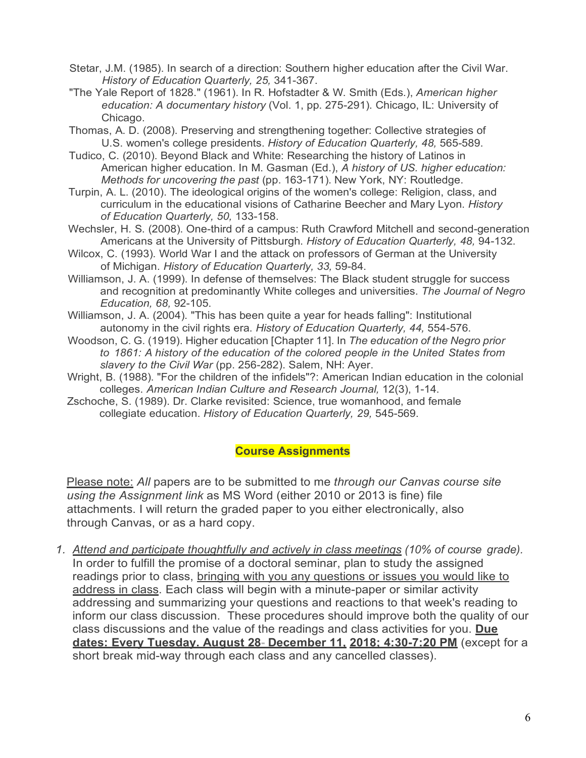- Stetar, J.M. (1985). In search of a direction: Southern higher education after the Civil War. *History of Education Quarterly, 25,* 341-367.
- "The Yale Report of 1828." (1961). In R. Hofstadter & W. Smith (Eds.), *American higher education: A documentary history* (Vol. 1, pp. 275-291). Chicago, IL: University of Chicago.
- Thomas, A. D. (2008). Preserving and strengthening together: Collective strategies of U.S. women's college presidents. *History of Education Quarterly, 48,* 565-589.
- Tudico, C. (2010). Beyond Black and White: Researching the history of Latinos in American higher education. In M. Gasman (Ed.), *A history of US. higher education: Methods for uncovering the past* (pp. 163-171). New York, NY: Routledge.
- Turpin, A. L. (2010). The ideological origins of the women's college: Religion, class, and curriculum in the educational visions of Catharine Beecher and Mary Lyon. *History of Education Quarterly, 50,* 133-158.
- Wechsler, H. S. (2008). One-third of a campus: Ruth Crawford Mitchell and second-generation Americans at the University of Pittsburgh. *History of Education Quarterly, 48,* 94-132.
- Wilcox, C. (1993). World War I and the attack on professors of German at the University of Michigan. *History of Education Quarterly, 33,* 59-84.
- Williamson, J. A. (1999). In defense of themselves: The Black student struggle for success and recognition at predominantly White colleges and universities. *The Journal of Negro Education, 68,* 92-105.
- Williamson, J. A. (2004). "This has been quite a year for heads falling": Institutional autonomy in the civil rights era. *History of Education Quarterly, 44,* 554-576.
- Woodson, C. G. (1919). Higher education [Chapter 11]. In *The education of the Negro prior to 1861: A history of the education of the colored people in the United States from slavery to the Civil War* (pp. 256-282). Salem, NH: Ayer.
- Wright, B. (1988). "For the children of the infidels"?: American Indian education in the colonial colleges. *American Indian Culture and Research Journal,* 12(3), 1-14.
- Zschoche, S. (1989). Dr. Clarke revisited: Science, true womanhood, and female collegiate education. *History of Education Quarterly, 29,* 545-569.

#### **Course Assignments**

Please note: *All* papers are to be submitted to me *through our Canvas course site using the Assignment link* as MS Word (either 2010 or 2013 is fine) file attachments. I will return the graded paper to you either electronically, also through Canvas, or as a hard copy.

*1. Attend and participate thoughtfully and actively in class meetings (10% of course grade).* In order to fulfill the promise of a doctoral seminar, plan to study the assigned readings prior to class, bringing with you any questions or issues you would like to address in class. Each class will begin with a minute-paper or similar activity addressing and summarizing your questions and reactions to that week's reading to inform our class discussion. These procedures should improve both the quality of our class discussions and the value of the readings and class activities for you. **Due dates: Every Tuesday. August 28- December 11, 2018; 4:30-7:20 PM** (except for a short break mid-way through each class and any cancelled classes).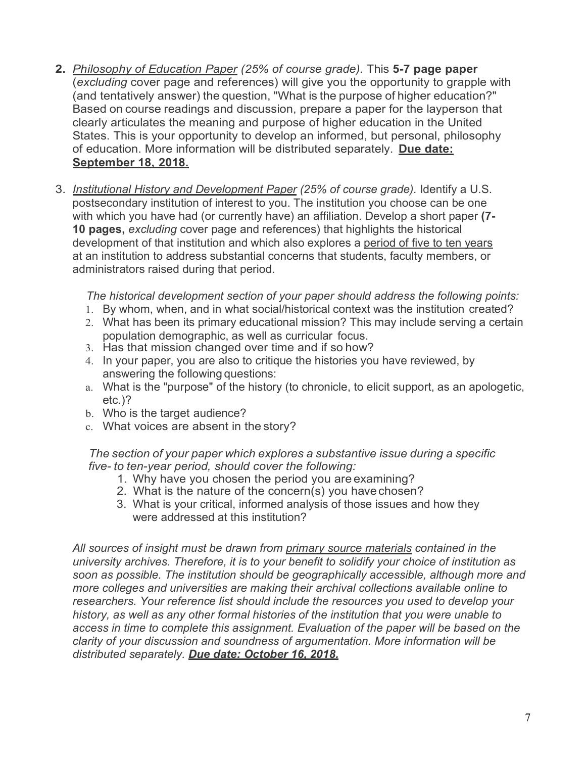- **2.** *Philosophy of Education Paper (25% of course grade).* This **5-7 page paper**  (*excluding* cover page and references) will give you the opportunity to grapple with (and tentatively answer) the question, "What is the purpose of higher education?" Based on course readings and discussion, prepare a paper for the layperson that clearly articulates the meaning and purpose of higher education in the United States. This is your opportunity to develop an informed, but personal, philosophy of education. More information will be distributed separately. **Due date: September 18, 2018.**
- 3. *Institutional History and Development Paper (25% of course grade).* Identify a U.S. postsecondary institution of interest to you. The institution you choose can be one with which you have had (or currently have) an affiliation. Develop a short paper **(7- 10 pages,** *excluding* cover page and references) that highlights the historical development of that institution and which also explores a period of five to ten years at an institution to address substantial concerns that students, faculty members, or administrators raised during that period.

*The historical development section of your paper should address the following points:*

- 1. By whom, when, and in what social/historical context was the institution created?
- 2. What has been its primary educational mission? This may include serving a certain population demographic, as well as curricular focus.
- 3. Has that mission changed over time and if so how?
- 4. In your paper, you are also to critique the histories you have reviewed, by answering the following questions:
- a. What is the "purpose" of the history (to chronicle, to elicit support, as an apologetic, etc.)?
- b. Who is the target audience?
- c. What voices are absent in the story?

*The section of your paper which explores a substantive issue during a specific five- to ten-year period, should cover the following:*

- 1. Why have you chosen the period you are examining?
- 2. What is the nature of the concern(s) you have chosen?
- 3. What is your critical, informed analysis of those issues and how they were addressed at this institution?

*All sources of insight must be drawn from primary source materials contained in the university archives. Therefore, it is to your benefit to solidify your choice of institution as soon as possible. The institution should be geographically accessible, although more and more colleges and universities are making their archival collections available online to researchers. Your reference list should include the resources you used to develop your history, as well as any other formal histories of the institution that you were unable to access in time to complete this assignment. Evaluation of the paper will be based on the clarity of your discussion and soundness of argumentation. More information will be distributed separately. Due date: October 16, 2018.*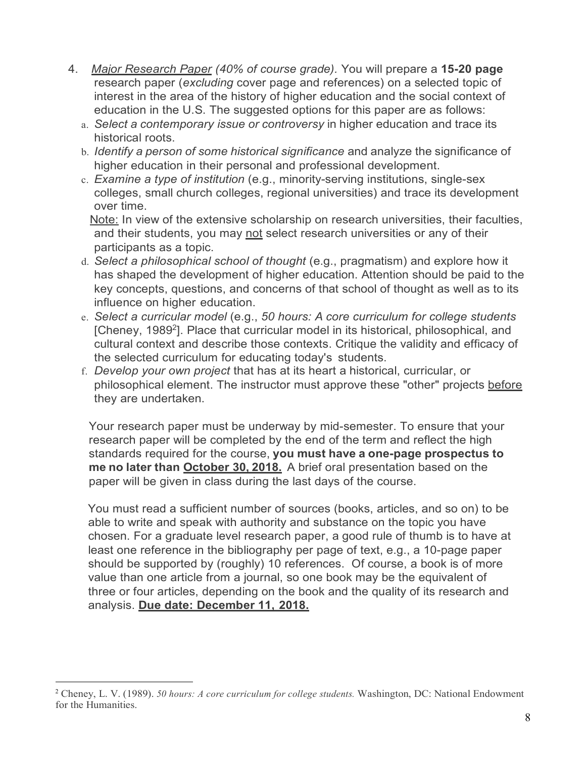- 4. *Major Research Paper (40% of course grade).* You will prepare a **15-20 page**  research paper (*excluding* cover page and references) on a selected topic of interest in the area of the history of higher education and the social context of education in the U.S. The suggested options for this paper are as follows:
	- a. *Select a contemporary issue or controversy* in higher education and trace its historical roots.
	- b. *Identify a person of some historical significance* and analyze the significance of higher education in their personal and professional development.
	- c. *Examine a type of institution* (e.g., minority-serving institutions, single-sex colleges, small church colleges, regional universities) and trace its development over time.

Note: In view of the extensive scholarship on research universities, their faculties, and their students, you may not select research universities or any of their participants as a topic.

- d. *Select a philosophical school of thought* (e.g., pragmatism) and explore how it has shaped the development of higher education. Attention should be paid to the key concepts, questions, and concerns of that school of thought as well as to its influence on higher education.
- e. *Select a curricular model* (e.g., *50 hours: A core curriculum for college students*  [Cheney, 1989<sup>2</sup>]. Place that curricular model in its historical, philosophical, and cultural context and describe those contexts. Critique the validity and efficacy of the selected curriculum for educating today's students.
- f. *Develop your own project* that has at its heart a historical, curricular, or philosophical element. The instructor must approve these "other" projects before they are undertaken.

Your research paper must be underway by mid-semester. To ensure that your research paper will be completed by the end of the term and reflect the high standards required for the course, **you must have a one-page prospectus to me no later than October 30, 2018.** A brief oral presentation based on the paper will be given in class during the last days of the course.

You must read a sufficient number of sources (books, articles, and so on) to be able to write and speak with authority and substance on the topic you have chosen. For a graduate level research paper, a good rule of thumb is to have at least one reference in the bibliography per page of text, e.g., a 10-page paper should be supported by (roughly) 10 references. Of course, a book is of more value than one article from a journal, so one book may be the equivalent of three or four articles, depending on the book and the quality of its research and analysis. **Due date: December 11, 2018.**

 <sup>2</sup> Cheney, L. V. (1989). *50 hours: A core curriculum for college students.* Washington, DC: National Endowment for the Humanities.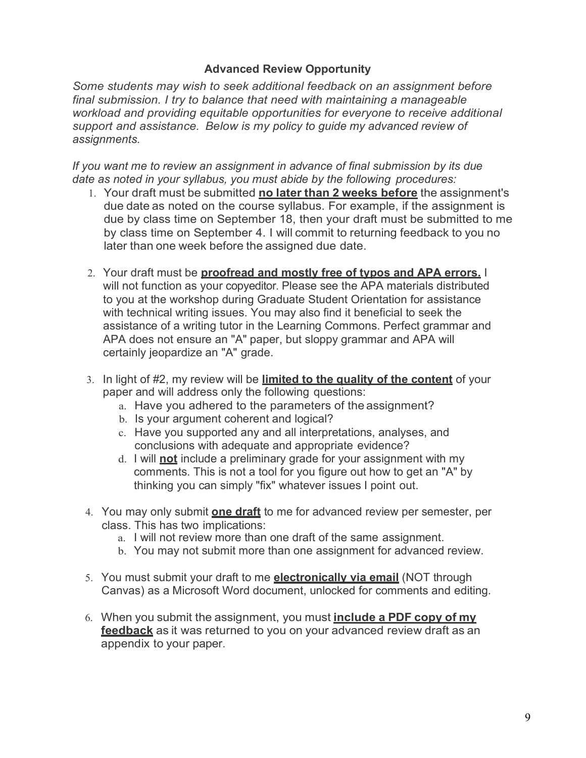#### **Advanced Review Opportunity**

*Some students may wish to seek additional feedback on an assignment before final submission. I try to balance that need with maintaining a manageable workload and providing equitable opportunities for everyone to receive additional support and assistance. Below is my policy to guide my advanced review of assignments.*

*If you want me to review an assignment in advance of final submission by its due date as noted in your syllabus, you must abide by the following procedures:*

- 1. Your draft must be submitted **no later than 2 weeks before** the assignment's due date as noted on the course syllabus. For example, if the assignment is due by class time on September 18, then your draft must be submitted to me by class time on September 4. I will commit to returning feedback to you no later than one week before the assigned due date.
- 2. Your draft must be **proofread and mostly free of typos and APA errors.** I will not function as your copyeditor. Please see the APA materials distributed to you at the workshop during Graduate Student Orientation for assistance with technical writing issues. You may also find it beneficial to seek the assistance of a writing tutor in the Learning Commons. Perfect grammar and APA does not ensure an "A" paper, but sloppy grammar and APA will certainly jeopardize an "A" grade.
- 3. In light of #2, my review will be **limited to the quality of the content** of your paper and will address only the following questions:
	- a. Have you adhered to the parameters of the assignment?
	- b. Is your argument coherent and logical?
	- c. Have you supported any and all interpretations, analyses, and conclusions with adequate and appropriate evidence?
	- d. I will **not** include a preliminary grade for your assignment with my comments. This is not a tool for you figure out how to get an "A" by thinking you can simply "fix" whatever issues I point out.
- 4. You may only submit **one draft** to me for advanced review per semester, per class. This has two implications:
	- a. I will not review more than one draft of the same assignment.
	- b. You may not submit more than one assignment for advanced review.
- 5. You must submit your draft to me **electronically via email** (NOT through Canvas) as a Microsoft Word document, unlocked for comments and editing.
- 6. When you submit the assignment, you must **include a PDF copy of my feedback** as it was returned to you on your advanced review draft as an appendix to your paper.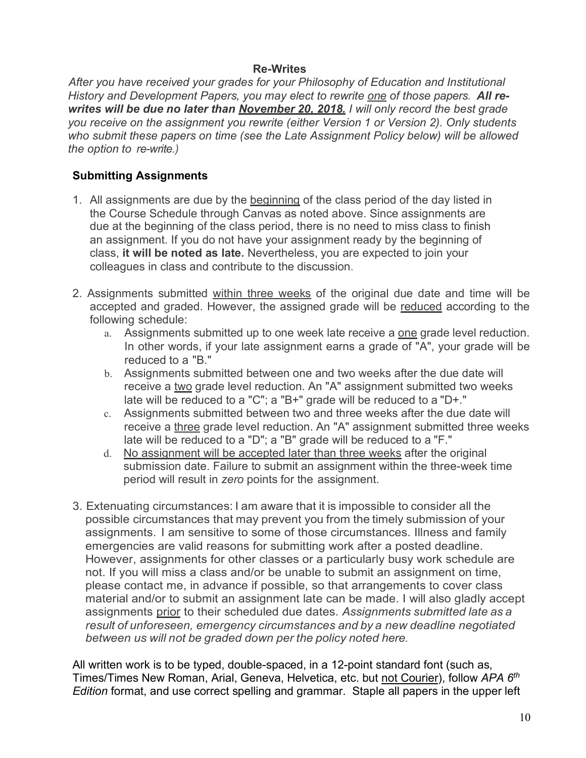#### **Re-Writes**

*After you have received your grades for your Philosophy of Education and Institutional History and Development Papers, you may elect to rewrite one of those papers. All rewrites will be due no later than November 20, 2018. I will only record the best grade you receive on the assignment you rewrite (either Version 1 or Version 2). Only students who submit these papers on time (see the Late Assignment Policy below) will be allowed the option to re-write.)*

## **Submitting Assignments**

- 1. All assignments are due by the beginning of the class period of the day listed in the Course Schedule through Canvas as noted above. Since assignments are due at the beginning of the class period, there is no need to miss class to finish an assignment. If you do not have your assignment ready by the beginning of class, **it will be noted as late.** Nevertheless, you are expected to join your colleagues in class and contribute to the discussion.
- 2. Assignments submitted within three weeks of the original due date and time will be accepted and graded. However, the assigned grade will be reduced according to the following schedule:
	- a. Assignments submitted up to one week late receive a one grade level reduction. In other words, if your late assignment earns a grade of "A", your grade will be reduced to a "B."
	- b. Assignments submitted between one and two weeks after the due date will receive a two grade level reduction. An "A" assignment submitted two weeks late will be reduced to a "C"; a "B+" grade will be reduced to a "D+."
	- c. Assignments submitted between two and three weeks after the due date will receive a three grade level reduction. An "A" assignment submitted three weeks late will be reduced to a "D"; a "B" grade will be reduced to a "F."
	- d. No assignment will be accepted later than three weeks after the original submission date. Failure to submit an assignment within the three-week time period will result in *zero* points for the assignment.
- 3. Extenuating circumstances: I am aware that it is impossible to consider all the possible circumstances that may prevent you from the timely submission of your assignments. I am sensitive to some of those circumstances. Illness and family emergencies are valid reasons for submitting work after a posted deadline. However, assignments for other classes or a particularly busy work schedule are not. If you will miss a class and/or be unable to submit an assignment on time, please contact me, in advance if possible, so that arrangements to cover class material and/or to submit an assignment late can be made. I will also gladly accept assignments prior to their scheduled due dates. *Assignments submitted late as a result of unforeseen, emergency circumstances and by a new deadline negotiated between us will not be graded down per the policy noted here.*

All written work is to be typed, double-spaced, in a 12-point standard font (such as, Times/Times New Roman, Arial, Geneva, Helvetica, etc. but not Courier), follow *APA 6th Edition* format, and use correct spelling and grammar. Staple all papers in the upper left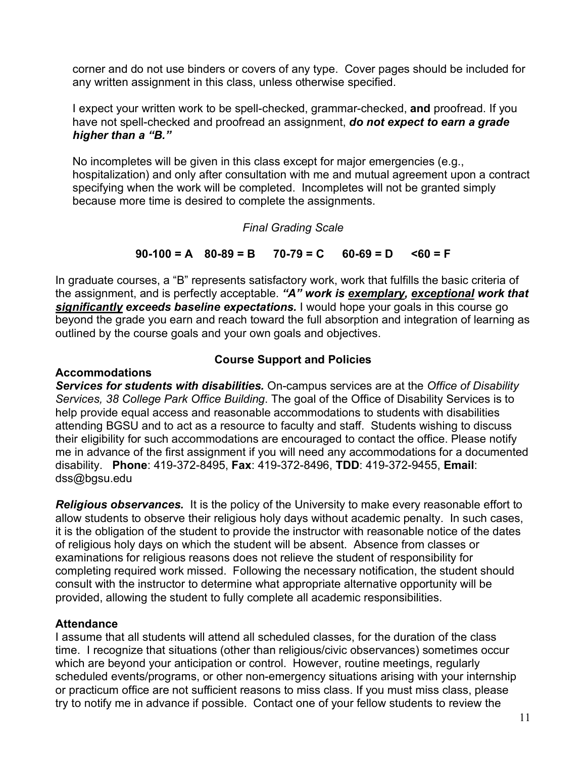corner and do not use binders or covers of any type. Cover pages should be included for any written assignment in this class, unless otherwise specified.

I expect your written work to be spell-checked, grammar-checked, **and** proofread. If you have not spell-checked and proofread an assignment, *do not expect to earn a grade higher than a "B."*

No incompletes will be given in this class except for major emergencies (e.g., hospitalization) and only after consultation with me and mutual agreement upon a contract specifying when the work will be completed. Incompletes will not be granted simply because more time is desired to complete the assignments.

#### *Final Grading Scale*

#### **90-100 = A 80-89 = B 70-79 = C 60-69 = D <60 = F**

In graduate courses, a "B" represents satisfactory work, work that fulfills the basic criteria of the assignment, and is perfectly acceptable. *"A" work is exemplary, exceptional work that significantly exceeds baseline expectations.* I would hope your goals in this course go beyond the grade you earn and reach toward the full absorption and integration of learning as outlined by the course goals and your own goals and objectives.

#### **Accommodations**

### **Course Support and Policies**

*Services for students with disabilities.* On-campus services are at the *Office of Disability Services, 38 College Park Office Building*. The goal of the Office of Disability Services is to help provide equal access and reasonable accommodations to students with disabilities attending BGSU and to act as a resource to faculty and staff. Students wishing to discuss their eligibility for such accommodations are encouraged to contact the office. Please notify me in advance of the first assignment if you will need any accommodations for a documented disability. **Phone**: 419-372-8495, **Fax**: 419-372-8496, **TDD**: 419-372-9455, **Email**: dss@bgsu.edu

*Religious observances.*It is the policy of the University to make every reasonable effort to allow students to observe their religious holy days without academic penalty. In such cases, it is the obligation of the student to provide the instructor with reasonable notice of the dates of religious holy days on which the student will be absent. Absence from classes or examinations for religious reasons does not relieve the student of responsibility for completing required work missed. Following the necessary notification, the student should consult with the instructor to determine what appropriate alternative opportunity will be provided, allowing the student to fully complete all academic responsibilities.

### **Attendance**

I assume that all students will attend all scheduled classes, for the duration of the class time. I recognize that situations (other than religious/civic observances) sometimes occur which are beyond your anticipation or control. However, routine meetings, regularly scheduled events/programs, or other non-emergency situations arising with your internship or practicum office are not sufficient reasons to miss class. If you must miss class, please try to notify me in advance if possible. Contact one of your fellow students to review the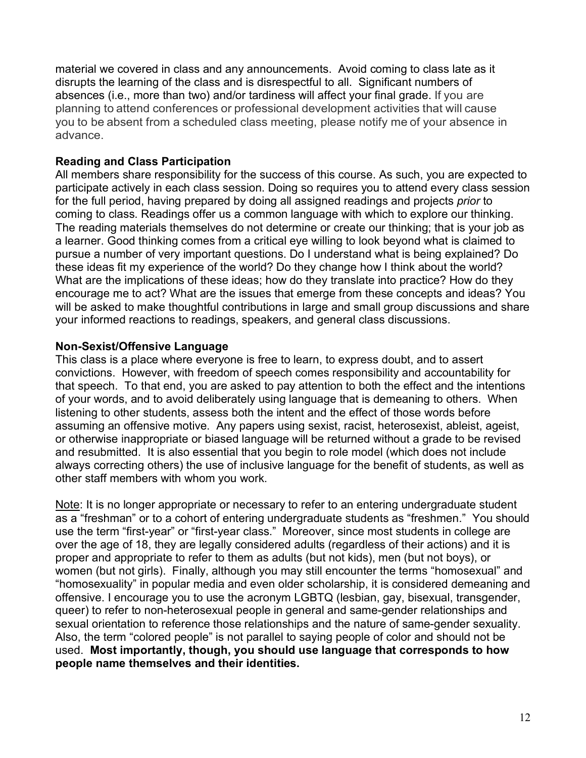material we covered in class and any announcements. Avoid coming to class late as it disrupts the learning of the class and is disrespectful to all. Significant numbers of absences (i.e., more than two) and/or tardiness will affect your final grade. If you are planning to attend conferences or professional development activities that will cause you to be absent from a scheduled class meeting, please notify me of your absence in advance.

### **Reading and Class Participation**

All members share responsibility for the success of this course. As such, you are expected to participate actively in each class session. Doing so requires you to attend every class session for the full period, having prepared by doing all assigned readings and projects *prior* to coming to class. Readings offer us a common language with which to explore our thinking. The reading materials themselves do not determine or create our thinking; that is your job as a learner. Good thinking comes from a critical eye willing to look beyond what is claimed to pursue a number of very important questions. Do I understand what is being explained? Do these ideas fit my experience of the world? Do they change how I think about the world? What are the implications of these ideas; how do they translate into practice? How do they encourage me to act? What are the issues that emerge from these concepts and ideas? You will be asked to make thoughtful contributions in large and small group discussions and share your informed reactions to readings, speakers, and general class discussions.

#### **Non-Sexist/Offensive Language**

This class is a place where everyone is free to learn, to express doubt, and to assert convictions. However, with freedom of speech comes responsibility and accountability for that speech. To that end, you are asked to pay attention to both the effect and the intentions of your words, and to avoid deliberately using language that is demeaning to others. When listening to other students, assess both the intent and the effect of those words before assuming an offensive motive. Any papers using sexist, racist, heterosexist, ableist, ageist, or otherwise inappropriate or biased language will be returned without a grade to be revised and resubmitted. It is also essential that you begin to role model (which does not include always correcting others) the use of inclusive language for the benefit of students, as well as other staff members with whom you work.

Note: It is no longer appropriate or necessary to refer to an entering undergraduate student as a "freshman" or to a cohort of entering undergraduate students as "freshmen." You should use the term "first-year" or "first-year class." Moreover, since most students in college are over the age of 18, they are legally considered adults (regardless of their actions) and it is proper and appropriate to refer to them as adults (but not kids), men (but not boys), or women (but not girls). Finally, although you may still encounter the terms "homosexual" and "homosexuality" in popular media and even older scholarship, it is considered demeaning and offensive. I encourage you to use the acronym LGBTQ (lesbian, gay, bisexual, transgender, queer) to refer to non-heterosexual people in general and same-gender relationships and sexual orientation to reference those relationships and the nature of same-gender sexuality. Also, the term "colored people" is not parallel to saying people of color and should not be used. **Most importantly, though, you should use language that corresponds to how people name themselves and their identities.**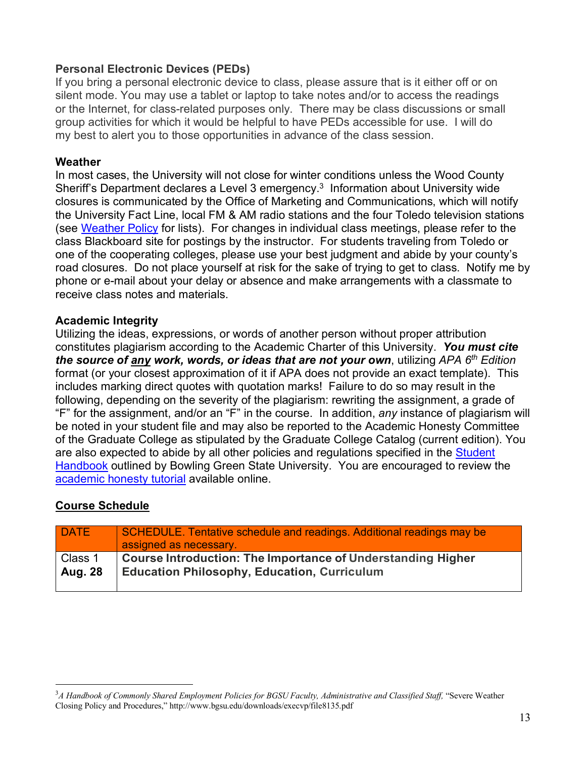## **Personal Electronic Devices (PEDs)**

If you bring a personal electronic device to class, please assure that is it either off or on silent mode. You may use a tablet or laptop to take notes and/or to access the readings or the Internet, for class-related purposes only. There may be class discussions or small group activities for which it would be helpful to have PEDs accessible for use. I will do my best to alert you to those opportunities in advance of the class session.

### **Weather**

In most cases, the University will not close for winter conditions unless the Wood County Sheriff's Department declares a Level 3 emergency.3 Information about University wide closures is communicated by the Office of Marketing and Communications, which will notify the University Fact Line, local FM & AM radio stations and the four Toledo television stations (see Weather Policy for lists). For changes in individual class meetings, please refer to the class Blackboard site for postings by the instructor. For students traveling from Toledo or one of the cooperating colleges, please use your best judgment and abide by your county's road closures. Do not place yourself at risk for the sake of trying to get to class. Notify me by phone or e-mail about your delay or absence and make arrangements with a classmate to receive class notes and materials.

### **Academic Integrity**

Utilizing the ideas, expressions, or words of another person without proper attribution constitutes plagiarism according to the Academic Charter of this University. *You must cite the source of any work, words, or ideas that are not your own*, utilizing *APA 6th Edition* format (or your closest approximation of it if APA does not provide an exact template). This includes marking direct quotes with quotation marks! Failure to do so may result in the following, depending on the severity of the plagiarism: rewriting the assignment, a grade of "F" for the assignment, and/or an "F" in the course. In addition, *any* instance of plagiarism will be noted in your student file and may also be reported to the Academic Honesty Committee of the Graduate College as stipulated by the Graduate College Catalog (current edition). You are also expected to abide by all other policies and regulations specified in the **Student** Handbook outlined by Bowling Green State University. You are encouraged to review the academic honesty tutorial available online.

### **Course Schedule**

| DATE           | SCHEDULE. Tentative schedule and readings. Additional readings may be<br>assigned as necessary. |
|----------------|-------------------------------------------------------------------------------------------------|
| Class 1        | Course Introduction: The Importance of Understanding Higher                                     |
| <b>Aug. 28</b> | <b>Education Philosophy, Education, Curriculum</b>                                              |

 $\frac{1}{3}$ <sup>3</sup>A Handbook of Commonly Shared Employment Policies for BGSU Faculty, Administrative and Classified Staff, "Severe Weather Closing Policy and Procedures," http://www.bgsu.edu/downloads/execvp/file8135.pdf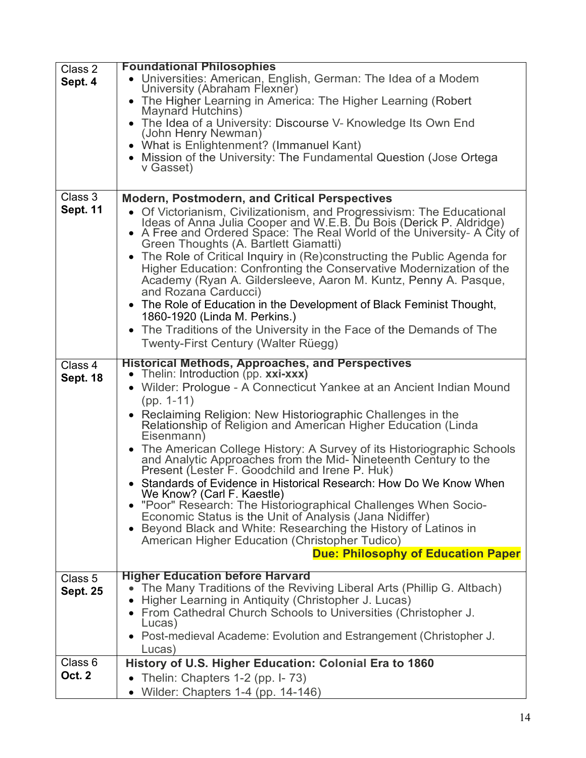| Class 2                    | <b>Foundational Philosophies</b>                                                                                                                                                    |
|----------------------------|-------------------------------------------------------------------------------------------------------------------------------------------------------------------------------------|
| Sept. 4                    | • Universities: American, English, German: The Idea of a Modem<br>University (Abraham Flexner)                                                                                      |
|                            | • The Higher Learning in America: The Higher Learning (Robert<br>Maynard Hutchins)                                                                                                  |
|                            | • The Idea of a University: Discourse V- Knowledge Its Own End                                                                                                                      |
|                            | (John Henry Newman)<br>• What is Enlightenment? (Immanuel Kant)                                                                                                                     |
|                            | • Mission of the University: The Fundamental Question (Jose Ortega                                                                                                                  |
|                            | v Gasset)                                                                                                                                                                           |
|                            |                                                                                                                                                                                     |
| Class 3                    | <b>Modern, Postmodern, and Critical Perspectives</b>                                                                                                                                |
| <b>Sept. 11</b>            | • Of Victorianism, Civilizationism, and Progressivism: The Educational                                                                                                              |
|                            |                                                                                                                                                                                     |
|                            | Ideas of Anna Julia Cooper and W.E.B. Du Bois (Derick P. Aldridge)<br>• A Free and Ordered Space: The Real World of the University- A City of Green Thoughts (A. Bartlett Giamatti) |
|                            | • The Role of Critical Inquiry in (Re)constructing the Public Agenda for                                                                                                            |
|                            | Higher Education: Confronting the Conservative Modernization of the                                                                                                                 |
|                            | Academy (Ryan A. Gildersleeve, Aaron M. Kuntz, Penny A. Pasque,                                                                                                                     |
|                            | and Rozana Carducci)<br>• The Role of Education in the Development of Black Feminist Thought,                                                                                       |
|                            | 1860-1920 (Linda M. Perkins.)                                                                                                                                                       |
|                            | The Traditions of the University in the Face of the Demands of The                                                                                                                  |
|                            | Twenty-First Century (Walter Rüegg)                                                                                                                                                 |
|                            | <b>Historical Methods, Approaches, and Perspectives</b>                                                                                                                             |
| Class 4<br><b>Sept. 18</b> | • Thelin: Introduction (pp. xxi-xxx)                                                                                                                                                |
|                            | • Wilder: Prologue - A Connecticut Yankee at an Ancient Indian Mound                                                                                                                |
|                            | $(pp. 1-11)$                                                                                                                                                                        |
|                            | • Reclaiming Religion: New Historiographic Challenges in the                                                                                                                        |
|                            | Relationship of Religion and American Higher Education (Linda<br>Eisenmann)                                                                                                         |
|                            | • The American College History: A Survey of its Historiographic Schools                                                                                                             |
|                            | and Analytic Approaches from the Mid-Nineteenth Century to the<br>Present (Lester F. Goodchild and Irene P. Huk)                                                                    |
|                            | • Standards of Evidence in Historical Research: How Do We Know When                                                                                                                 |
|                            | We Know? (Carl F. Kaestle)                                                                                                                                                          |
|                            | • "Poor" Research: The Historiographical Challenges When Socio-                                                                                                                     |
|                            | Economic Status is the Unit of Analysis (Jana Nidiffer)<br>Beyond Black and White: Researching the History of Latinos in                                                            |
|                            | American Higher Education (Christopher Tudico)                                                                                                                                      |
|                            | <b>Due: Philosophy of Education Paper</b>                                                                                                                                           |
|                            |                                                                                                                                                                                     |
| Class 5                    | <b>Higher Education before Harvard</b><br>The Many Traditions of the Reviving Liberal Arts (Phillip G. Altbach)                                                                     |
| <b>Sept. 25</b>            | Higher Learning in Antiquity (Christopher J. Lucas)                                                                                                                                 |
|                            | From Cathedral Church Schools to Universities (Christopher J.                                                                                                                       |
|                            | Lucas)                                                                                                                                                                              |
|                            | Post-medieval Academe: Evolution and Estrangement (Christopher J.                                                                                                                   |
| Class 6                    | Lucas)<br>History of U.S. Higher Education: Colonial Era to 1860                                                                                                                    |
| <b>Oct. 2</b>              | Thelin: Chapters 1-2 (pp. I-73)                                                                                                                                                     |
|                            | • Wilder: Chapters 1-4 (pp. 14-146)                                                                                                                                                 |
|                            |                                                                                                                                                                                     |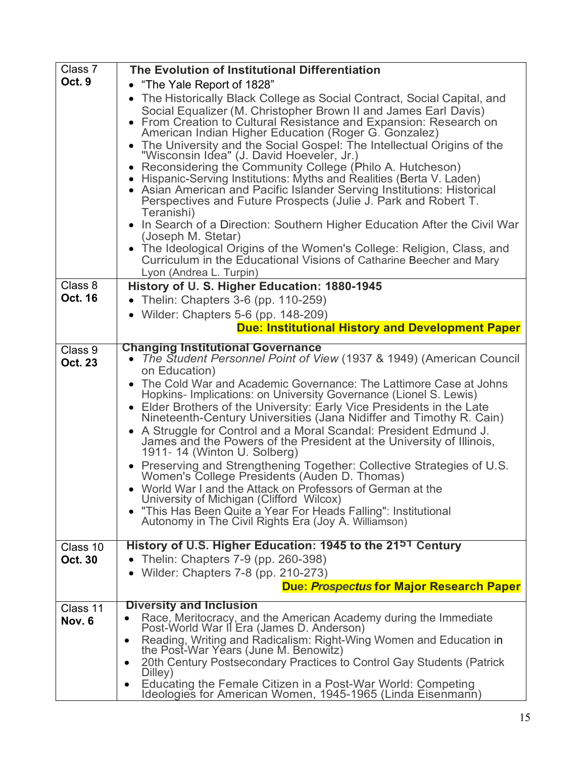| Class 7                    | The Evolution of Institutional Differentiation                                                                                                                                                                                                                                                                                                                                                                                                                                                                                                                                                                                                                                                                                                                                                                                                                                                                                                                                           |
|----------------------------|------------------------------------------------------------------------------------------------------------------------------------------------------------------------------------------------------------------------------------------------------------------------------------------------------------------------------------------------------------------------------------------------------------------------------------------------------------------------------------------------------------------------------------------------------------------------------------------------------------------------------------------------------------------------------------------------------------------------------------------------------------------------------------------------------------------------------------------------------------------------------------------------------------------------------------------------------------------------------------------|
| Oct. 9                     | • "The Yale Report of 1828"                                                                                                                                                                                                                                                                                                                                                                                                                                                                                                                                                                                                                                                                                                                                                                                                                                                                                                                                                              |
|                            | • The Historically Black College as Social Contract, Social Capital, and<br>Social Equalizer (M. Christopher Brown II and James Earl Davis)<br>• From Creation to Cultural Resistance and Expansion: Research on<br>American Indian Higher Education (Roger G. Gonzalez)<br>• The University and the Social Gospel: The Intellectual Origins of the<br>"Wisconsin Idea" (J. David Hoeveler, Jr.)<br>• Reconsidering the Community College (Philo A. Hutcheson)<br>• Hispanic-Serving Institutions: Myths and Realities (Berta V. Laden)<br>• Asian American and Pacific Islander Serving Institutions: Historical<br>Perspectives and Future Prospects (Julie J. Park and Robert T.<br>Teranishi)<br>• In Search of a Direction: Southern Higher Education After the Civil War<br>(Joseph M. Stetar)<br>• The Ideological Origins of the Women's College: Religion, Class, and<br>Curriculum in the Educational Visions of Catharine Beecher and Mary<br>Lyon (Andrea L. Turpin)         |
| Class 8                    | History of U. S. Higher Education: 1880-1945                                                                                                                                                                                                                                                                                                                                                                                                                                                                                                                                                                                                                                                                                                                                                                                                                                                                                                                                             |
| <b>Oct. 16</b>             | • Thelin: Chapters 3-6 (pp. 110-259)                                                                                                                                                                                                                                                                                                                                                                                                                                                                                                                                                                                                                                                                                                                                                                                                                                                                                                                                                     |
|                            | • Wilder: Chapters 5-6 (pp. $148-209$ )                                                                                                                                                                                                                                                                                                                                                                                                                                                                                                                                                                                                                                                                                                                                                                                                                                                                                                                                                  |
|                            | <b>Due: Institutional History and Development Paper</b>                                                                                                                                                                                                                                                                                                                                                                                                                                                                                                                                                                                                                                                                                                                                                                                                                                                                                                                                  |
| Class 9                    | <b>Changing Institutional Governance</b>                                                                                                                                                                                                                                                                                                                                                                                                                                                                                                                                                                                                                                                                                                                                                                                                                                                                                                                                                 |
| <b>Oct. 23</b><br>Class 10 | • The Student Personnel Point of View (1937 & 1949) (American Council<br>on Education)<br>The Cold War and Academic Governance: The Lattimore Case at Johns<br>Hopkins- Implications: on University Governance (Lionel S. Lewis)<br>• Elder Brothers of the University: Early Vice Presidents in the Late<br>Nineteenth-Century Universities (Jana Nidiffer and Timothy R. Cain)<br>• A Struggle for Control and a Moral Scandal: President Edmund J.<br>James and the Powers of the President at the University of Illinois,<br>1911-14 (Winton U. Solberg)<br>• Preserving and Strengthening Together: Collective Strategies of U.S.<br>Women's College Presidents (Auden D. Thomas)<br>• World War I and the Attack on Professors of German at the<br>University of Michigan (Clifford Wilcox)<br>"This Has Been Quite a Year For Heads Falling": Institutional<br>Autonomy in The Civil Rights Era (Joy A. Williamson)<br>History of U.S. Higher Education: 1945 to the 2151 Century |
| <b>Oct. 30</b>             | Thelin: Chapters 7-9 (pp. 260-398)<br>$\bullet$                                                                                                                                                                                                                                                                                                                                                                                                                                                                                                                                                                                                                                                                                                                                                                                                                                                                                                                                          |
|                            | Wilder: Chapters 7-8 (pp. 210-273)                                                                                                                                                                                                                                                                                                                                                                                                                                                                                                                                                                                                                                                                                                                                                                                                                                                                                                                                                       |
|                            | <b>Due: Prospectus for Major Research Paper</b>                                                                                                                                                                                                                                                                                                                                                                                                                                                                                                                                                                                                                                                                                                                                                                                                                                                                                                                                          |
| Class 11                   | <b>Diversity and Inclusion</b>                                                                                                                                                                                                                                                                                                                                                                                                                                                                                                                                                                                                                                                                                                                                                                                                                                                                                                                                                           |
| Nov. 6                     | Race, Meritocracy, and the American Academy during the Immediate<br>Post-World War II Era (James D. Anderson)                                                                                                                                                                                                                                                                                                                                                                                                                                                                                                                                                                                                                                                                                                                                                                                                                                                                            |
|                            | Reading, Writing and Radicalism: Right-Wing Women and Education in<br>the Post-War Years (June M. Benowitz)                                                                                                                                                                                                                                                                                                                                                                                                                                                                                                                                                                                                                                                                                                                                                                                                                                                                              |
|                            | 20th Century Postsecondary Practices to Control Gay Students (Patrick)<br>$\bullet$<br>Dilley)                                                                                                                                                                                                                                                                                                                                                                                                                                                                                                                                                                                                                                                                                                                                                                                                                                                                                           |
|                            | Educating the Female Citizen in a Post-War World: Competing<br>$\bullet$<br>Ideologies for American Women, 1945-1965 (Linda Eisenmann)                                                                                                                                                                                                                                                                                                                                                                                                                                                                                                                                                                                                                                                                                                                                                                                                                                                   |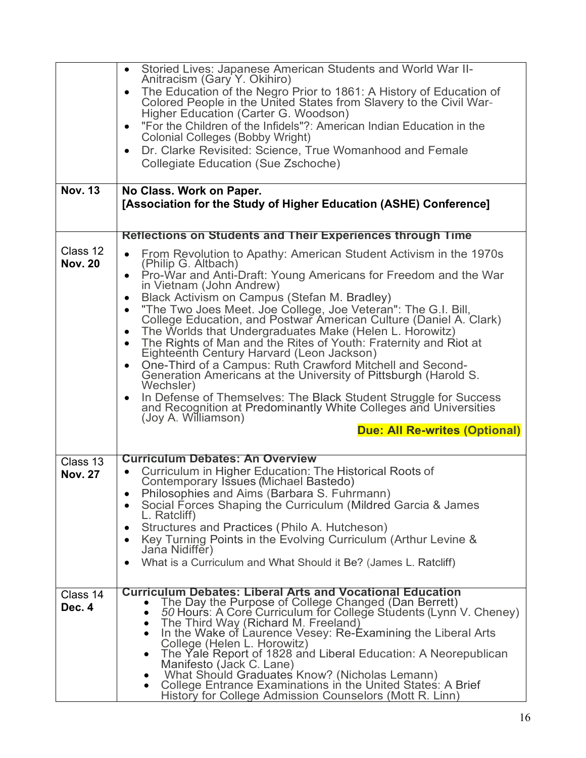|                            | Storied Lives: Japanese American Students and World War II-<br>$\bullet$                                                                        |
|----------------------------|-------------------------------------------------------------------------------------------------------------------------------------------------|
|                            | Anitracism (Gary Y. Okihiro)<br>The Education of the Negro Prior to 1861: A History of Education of<br>$\bullet$                                |
|                            | Colored People in the United States from Slavery to the Civil War-<br>Higher Education (Carter G. Woodson)                                      |
|                            | "For the Children of the Infidels"?: American Indian Education in the<br>$\bullet$<br><b>Colonial Colleges (Bobby Wright)</b>                   |
|                            | Dr. Clarke Revisited: Science, True Womanhood and Female<br>$\bullet$                                                                           |
|                            | Collegiate Education (Sue Zschoche)                                                                                                             |
| <b>Nov. 13</b>             |                                                                                                                                                 |
|                            | No Class. Work on Paper.<br>[Association for the Study of Higher Education (ASHE) Conference]                                                   |
|                            |                                                                                                                                                 |
|                            | Reflections on Students and Their Experiences through Time                                                                                      |
| Class 12                   | From Revolution to Apathy: American Student Activism in the 1970s<br>$\bullet$                                                                  |
| <b>Nov. 20</b>             | (Philip G. Altbach)<br>Pro-War and Anti-Draft: Young Americans for Freedom and the War<br>$\bullet$                                             |
|                            | in Vietnam (John Andrew)                                                                                                                        |
|                            | Black Activism on Campus (Stefan M. Bradley)<br>$\bullet$                                                                                       |
|                            | "The Two Joes Meet. Joe College, Joe Veteran": The G.I. Bill,<br>$\bullet$<br>College Education, and Postwar American Culture (Daniel A. Clark) |
|                            | The Worlds that Undergraduates Make (Helen L. Horowitz)<br>$\bullet$                                                                            |
|                            | The Rights of Man and the Rites of Youth: Fraternity and Riot at<br>$\bullet$                                                                   |
|                            | Eighteenth Century Harvard (Leon Jackson)<br>One-Third of a Campus: Ruth Crawford Mitchell and Second-<br>$\bullet$                             |
|                            | Generation Americans at the University of Pittsburgh (Harold S.<br>Wechsler)                                                                    |
|                            | In Defense of Themselves: The Black Student Struggle for Success<br>$\bullet$                                                                   |
|                            | and Recognition at Predominantly White Colleges and Universities<br>(Joy A. Williamson)                                                         |
|                            | <b>Due: All Re-writes (Optional)</b>                                                                                                            |
|                            | <b>Curriculum Debates: An Overview</b>                                                                                                          |
| Class 13<br><b>Nov. 27</b> | Curriculum in Higher Education: The Historical Roots of<br>$\bullet$                                                                            |
|                            | Contemporary Issues (Michael Bastedo)                                                                                                           |
|                            | Philosophies and Aims (Barbara S. Fuhrmann)<br>٠                                                                                                |
|                            | Social Forces Shaping the Curriculum (Mildred Garcia & James<br>٠<br>L. Ratcliff)                                                               |
|                            | Structures and Practices (Philo A. Hutcheson)<br>٠                                                                                              |
|                            | Key Turning Points in the Evolving Curriculum (Arthur Levine &<br>$\bullet$                                                                     |
|                            | Jana Nidiffer)                                                                                                                                  |
|                            | What is a Curriculum and What Should it Be? (James L. Ratcliff)<br>٠                                                                            |
| Class 14                   | <b>Curriculum Debates: Liberal Arts and Vocational Education</b>                                                                                |
| Dec. 4                     | The Day the Purpose of College Changed (Dan Berrett)                                                                                            |
|                            | 50 Hours: A Core Curriculum for College Students (Lynn V. Cheney)<br>$\bullet$<br>The Third Way (Richard M. Freeland)<br>$\bullet$              |
|                            | In the Wake of Laurence Vesey: Re-Examining the Liberal Arts<br>٠                                                                               |
|                            | College (Helen L. Horowitz)<br>The Yale Report of 1828 and Liberal Education: A Neorepublican                                                   |
|                            | $\bullet$<br>Manifesto (Jack C. Lane)                                                                                                           |
|                            | What Should Graduates Know? (Nicholas Lemann)<br>$\bullet$                                                                                      |
|                            | College Entrance Examinations in the United States: A Brief<br>$\bullet$<br>History for College Admission Counselors (Mott R. Linn)             |